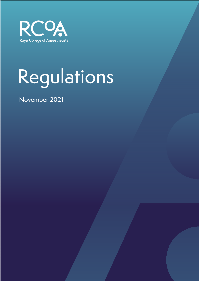

# Regulations

November 2021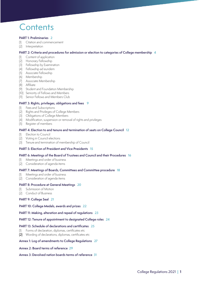# **Contents**

#### **PART 1: Preliminaries 2**

- (1) Citation and commencement
- (2) Interpretation

#### **PART 2: Criteria and procedures for admission or election to categories of College membership 4**

- (1) Content of application
- (2) Honorary Fellowship
- (3) Fellowship by Examination
- (4) Fellowship ad eundem
- (5) Associate Fellowship
- (6) Membership
- (7) Associate Membership
- (8) Affiliate
- (9) Student and Foundation Membership
- (10) Seniority of Fellows and Members
- (11) Senior Fellows and Members Club

#### **PART 3: Rights, privileges, obligations and fees 9**

- (1) Fees and Subscriptions
- (2) Rights and Privileges of College Members
- (3) Obligations of College Members
- (4) Modification, suspension or removal of rights and privileges
- (5) Register of members

#### **PART 4: Election to and tenure and termination of seats on College Council 12**

- (1) Election to Council
- (2) Voting in Council elections
- (3) Tenure and termination of membership of Council

#### **PART 5: Election of President and Vice Presidents 15**

#### **PART 6: Meetings of the Board of Trustees and Council and their Procedures 16**

- (1) Meetings and order of business
- (2) Consideration of agenda items

#### **PART 7: Meetings of Boards, Committees and Committee procedure 18**

- (1) Meetings and order of business
- (2) Consideration of agenda items

#### **PART 8: Procedure at General Meetings 20**

- Submission of Motion
- (2) Conduct of Business

#### **PART 9: College Seal 21**

#### **PART 10: College Medals, awards and prizes 22**

#### **PART 11: Making, alteration and repeal of regulations 23**

#### **PART 12: Tenure of appointment to designated College roles 24**

#### **PART 13: Schedule of declarations and certificates 25**

- (1) Forms of declaration, diplomas, certificates etc
- (2) Wording of declarations, diplomas, certificates etc

#### **Annex 1: Log of amendments to College Regulations 27**

#### **Annex 2: Board terms of reference 29**

#### **Annex 3: Devolved nation boards terms of reference 31**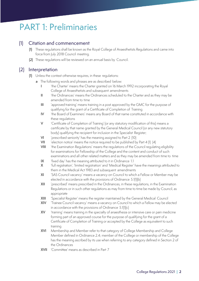# PART 1: Preliminaries

### (1) Citation and commencement

- (1) These regulations shall be known as the Royal College of Anaesthetists Regulations and came into force from July 2018 Council meeting.
- (2) These regulations will be reviewed on an annual basis by Council.

### (2) Interpretation

- (1) Unless the context otherwise requires, in these regulations:
	- a The following words and phrases are as described below:
		- 'the Charter' means the Charter granted on 16 March 1992 incorporating the Royal College of Anaesthetists and subsequent amendments
		- II 'the Ordinances' means the Ordinances scheduled to the Charter and as they may be amended from time to time
		- III 'approved training' means training in a post approved by the GMC for the purpose of qualifying for the grant of a Certificate of Completion of Training
		- IV 'the Board of Examiners' means any Board of that name constituted in accordance with these regulations
		- V 'Certificate of Completion of Training' (or any statutory modification of this) means a certificate by that name granted by the General Medical Council (or any new statutory body) qualifying the recipient for inclusion in the Specialist Register;
		- VI 'prescribed seniority' has the meaning assigned to Part 2 (10)
		- VII 'election notice' means the notice required to be published by Part 4 (1) (4)
		- VIII 'the Examination Regulations' means the regulations of the Council regulating eligibility for examinations for Fellowship of the College and the content and conduct of such examinations and all other related matters and as they may be amended from time to time
		- IX 'fixed day' has the meaning attributed to it in Ordinance 1.1
		- X 'full registration', 'limited registration' and 'Medical Register' have the meanings attributed to them in the Medical Act 1983 and subsequent amendments
		- XI 'SAS Council vacancy' means a vacancy on Council to which a Fellow or Member may be elected in accordance with the provisions of Ordinance 5.1(1)(b)
		- XII 'prescribed' means prescribed in the Ordinances, in these regulations, in the Examination Regulations or in such other regulations as may from time to time be made by Council, as appropriate
		- XIII 'Specialist Register' means the register maintained by the General Medical Council
		- XIV 'Trainee Council vacancy' means a vacancy on Council to which a Fellow may be elected in accordance with the provisions of Ordinance 5.1(1)(c)
		- XV fraining' means training in the specialty of anaesthesia or intensive care or pain medicine forming part of an approved course for the purpose of qualifying for the grant of a Certificate of Completion of Training or accepted by the College as equivalent to such training
		- XVI Membership and Member refer to that category of College Membership and College Member defined in Ordinance 2.4; member of the College or membership of the College has the meaning ascribed by its use when referring to any category defined in Section 2 of the Ordinances
		- XVII 'Committee' means as described in Part 7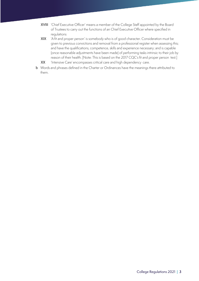- XVIII 'Chief Executive Officer' means a member of the College Staff appointed by the Board of Trustees to carry out the functions of an Chief Executive Officer where specified in regulations
- XIX 'A fit and proper person' is somebody who is of good character. Consideration must be given to previous convictions and removal from a professional register when assessing this; and have the qualifications, competence, skills and experience necessary; and is capable (once reasonable adjustments have been made) of performing tasks intrinsic to their job by reason of their health. [Note: This is based on the 2017 CQC's fit and proper person test.]
- XX /Intensive Care' encompasses critical care and high dependency care.
- **b** Words and phrases defined in the Charter or Ordinances have the meanings there attributed to them.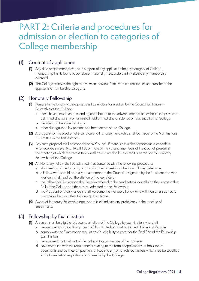# PART 2: Criteria and procedures for admission or election to categories of College membership

## (1) Content of application

- (1) Any data or statement provided in support of any application for any category of College membership that is found to be false or materially inaccurate shall invalidate any membership awarded.
- (2) The College reserves the right to review an individual's relevant circumstances and transfer to the appropriate membership category.

# (2) Honorary Fellowship

- (1) Persons in the following categories shall be eligible for election by the Council to Honorary Fellowship of the College:
	- a those having made an outstanding contribution to the advancement of anaesthesia, intensive care, pain medicine, or any other related field of medicine or science of relevance to the College
	- **b** members of the Royal Family, or
	- c other distinguished lay persons and benefactors of the College.
- (2) A proposal for the election of a candidate to Honorary Fellowship shall be made to the Nominations Committee in the first instance.
- (3) Any such proposal shall be considered by Council. If there is not a clear consensus, a candidate who receives a majority of two thirds or more of the votes of members of the Council present at the meeting at which the vote is taken shall be declared to be elected for admission to Honorary Fellowship of the College.
- (4) An Honorary Fellow shall be admitted in accordance with the following procedure:
	- a at a meeting of the Council, or on such other occasion as the Council may determine;
	- b a Fellow, who should normally be a member of the Council designated by the President or a Vice President shall read out the citation of the candidate
	- c the Fellowship Declaration shall be administered to the candidate who shall sign their name in the Roll of the College and thereby be admitted to the Fellowship
	- d the President or Vice President shall welcome the Honorary Fellow who will then or as soon as is practicable be given their Fellowship Certificate.
- (5) Award of Honorary Fellowship does not of itself indicate any proficiency in the practice of anaesthesia.

# (3) Fellowship by Examination

- (1) A person shall be eligible to become a Fellow of the College by examination who shall:
	- a have a qualification entitling them to full or limited registration in the UK Medical Register
	- **b** comply with the Examination regulations for eligibility to enter for the Final Part of the Fellowship examination
	- c have passed the Final Part of the Fellowship examination of the College
	- d have complied with the requirements relating to the form of applications, submission of documents and certificates, payment of fees and any other related matters which may be specified in the Examination regulations or otherwise by the College.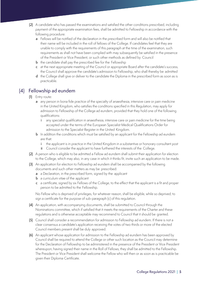- (2) A candidate who has passed the examinations and satisfied the other conditions prescribed, including payment of the appropriate examination fees, shall be admitted to Fellowship in accordance with the following procedure:
	- a Fellows will be notified of the declaration in the prescribed form and will also be notified that their name will be included in the roll of fellows of the College. If candidates feel that they are unable to comply with the requirements of this paragraph at the time of the examination, such requirements as shall not have been complied with may subsequently be satisfied in the presence of the President or Vice President, or such other methods as defined by Council
	- **b** the candidate shall pay the prescribed fee for the Fellowship
	- c at the next appropriate meeting of the Council or appropriate Board after the candidate's success, the Council shall approve the candidate's admission to Fellowship, who shall thereby be admitted
	- d the College shall give or deliver to the candidate the Diploma in the prescribed form as soon as is practicable.

### (4) Fellowship ad eundem

- (1) Entry route:
	- a any person in bona fide practice of the specialty of anaesthesia, intensive care or pain medicine in the United Kingdom, who satisfies the conditions specified in this Regulation, may apply for admission to Fellowship of the College ad eundem, provided that they hold one of the following qualifications:
		- i any specialist qualification in anaesthesia, intensive care or pain medicine for the time being accepted under the terms of the European Specialist Medical Qualifications Order for admission to the Specialist Register in the United Kingdom.
	- **b** In addition the conditions which must be satisfied by an applicant for the Fellowship ad eundem are that:
		- i the applicant is in practice in the United Kingdom in a substantive or honorary consultant post
		- ii Council consider the applicant to have furthered the interests of the College.
- (2) A person who is eligible to be admitted a Fellow ad eundem shall submit their application for election to the College, which may also, in any case in which it thinks fit, invite such an application to be made.
- (3) An application for election to Fellowship ad eundem shall be accompanied by the following documents and such other matters as may be prescribed:
	- a a Declaration, in the prescribed form, signed by the applicant
	- **b** a curriculum vitae of the applicant
	- c a certificate, signed by six Fellows of the College, to the effect that the applicant is a fit and proper person to be admitted to the Fellowship.

No Fellow who is deprived of privileges, for whatever reason, shall be eligible, while so deprived, to sign a certificate for the purpose of sub-paragraph (c) of this regulation.

- (4) An application, with accompanying documents, shall be submitted to Council through the Nominations committee, which if satisfied that it meets the requirements of the Charter and these regulations and is otherwise acceptable may recommend to Council that it should be granted.
- (5) Council shall consider a recommendation for admission to Fellowship ad eundem. If there is not a clear consensus a candidate's application receiving the votes of two thirds or more of the elected Council members present shall be duly approved.
- (6) An applicant whose application for admission to the Fellowship ad eundem has been approved by Council shall be required to attend the College or other such location as the Council may determine for the Declaration of Fellowship to be administered in the presence of the President or Vice President whereupon, having signed their name in the Roll of Fellows, they shall be admitted to the Fellowship. The President or Vice President shall welcome the Fellow who will then or as soon as is practicable be given their Diploma Certificate.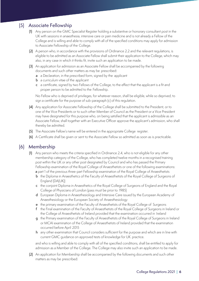# (5) Associate Fellowship

- (1) Any person on the GMC Specialist Register holding a substantive or honorary consultant post in the UK with sessions in anaesthesia, intensive care or pain medicine and is not already a Fellow of the College and is willing and able to comply with all of the specified conditions may apply for admission to Associate Fellowship of the College.
- (2) A person who, in accordance with the provisions of Ordinance 2.2 and the relevant regulations, is eligible to be admitted as an Associate Fellow shall submit their application to the College, which may also, in any case in which it thinks fit, invite such an application to be made.
- (3) An application for admission as an Associate Fellow shall be accompanied by the following documents and such other matters as may be prescribed:
	- a a Declaration, in the prescribed form, signed by the applicant
	- **b** a curriculum vitae of the applicant
	- c a certificate, signed by two Fellows of the College, to the effect that the applicant is a fit and proper person to be admitted to the Fellowship.

No Fellow who is deprived of privileges, for whatever reason, shall be eligible, while so deprived, to sign a certificate for the purpose of sub-paragraph (c) of this regulation.

- (4) Any application for Associate Fellowship of the College shall be submitted to the President, or to one of the Vice Presidents or to such other Member of Council as the President or a Vice President may have designated for this purpose who, on being satisfied that the applicant is admissible as an Associate Fellow, shall together with an Executive Officer approve the applicant's admission, who shall thereby be admitted.
- (5) The Associate Fellow's name will be entered in the appropriate College register.
- (6) A Certificate shall be given or sent to the Associate Fellow so admitted as soon as is practicable.

### (6) Membership

- (1) Any person who meets the criteria specified in Ordinance 2.4, who is not eligible for any other membership category of the College, who has completed twelve months in a recognised training post within the UK or any other post designated by Council and who has passed the Primary Fellowship examination of the Royal College of Anaesthetists or one of the following examinations: a part 1 of the previous three-part Fellowship examination of the Royal College of Anaesthetists
	- b the Diploma in Anaesthetics of the Faculty of Anaesthetists of the Royal College of Surgeons of England (DA(UK))
	- c the conjoint Diploma in Anaesthetics of the Royal College of Surgeons of England and the Royal College of Physicians of London (pass must be prior to 1985)
	- d European Diploma in Anaesthesiology and Intensive Care issued by the European Academy of Anaesthesiology or the European Society of Anaesthesiology
	- e the primary examination of the Faculty of Anaesthetists of the Royal College of Surgeons
	- f the Final examination of the Faculty of Anaesthetists of the Royal College of Surgeons in Ireland or the College of Anaesthetists of Ireland provided that the examination occurred in Ireland
	- g the Primary examination of the Faculty of Anaesthetists of the Royal College of Surgeons in Ireland or MCAI examination of the College of Anaesthetists of Ireland provided that the examination occurred before April 2015
	- h any other examination that Council considers sufficient for the purpose and which are in line with current GMC guidance on approved tests of knowledge for UK practice.

and who is willing and able to comply with all of the specified conditions, shall be entitled to apply for admission as a Member of the College. The College may also invite such an application to be made.

(2) An application for Membership shall be accompanied by the following documents and such other matters as may be prescribed: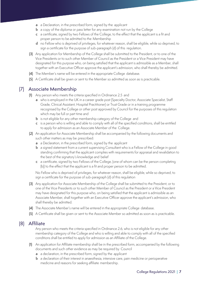- a a Declaration, in the prescribed form, signed by the applicant
- **b** a copy of the diploma or pass letter for any examination not run by the College
- c a certificate, signed by two Fellows of the College, to the effect that the applicant is a fit and proper person to be admitted to the Membership
- d no Fellow who is deprived of privileges, for whatever reason, shall be eligible, while so deprived, to sign a certificate for the purpose of sub-paragraph (d) of this regulation.
- (3) Any application for Membership of the College shall be submitted to the President, or to one of the Vice Presidents or to such other Member of Council as the President or a Vice President may have designated for this purpose who, on being satisfied that the applicant is admissible as a Member, shall together with an Executive Officer approve the applicant's admission, who shall thereby be admitted.
- (4) The Member's name will be entered in the appropriate College database.
- (5) A Certificate shall be given or sent to the Member so admitted as soon as is practicable.

### (7) Associate Membership

- (1) Any person who meets the criteria specified in Ordinance 2.5 and
	- a who is employed in the UK in a career grade post (Specialty Doctor, Associate Specialist, Staff Grade, Clinical Assistant, Hospital Practitioner) or Trust Grade or in a training programme recognised by the College or other post approved by Council for the purposes of this regulation which may be full or part time and
	- **b** is not eligible for any other membership category of the College and
	- c is a person who is willing and able to comply with all of the specified conditions, shall be entitled to apply for admission as an Associate Member of the College.
- (2) An application for Associate Membership shall be accompanied by the following documents and such other matters as may be prescribed:
	- a a Declaration, in the prescribed form, signed by the applicant
	- b a signed statement from a current supervising Consultant who is a Fellow of the College in good standing confirming that the applicant complies with requirements for appraisal and revalidation to the best of the signatory's knowledge and belief
	- c a certificate, signed by two Fellows of the College, (one of whom can be the person completing (b)) to the effect that the applicant is a fit and proper person to be admitted.

No Fellow who is deprived of privileges, for whatever reason, shall be eligible, while so deprived, to sign a certificate for the purpose of sub-paragraph (d) of this regulation

- (3) Any application for Associate Membership of the College shall be submitted to the President, or to one of the Vice Presidents or to such other Member of Council as the President or a Vice President may have designated for this purpose who, on being satisfied that the applicant is admissible as an Associate Member, shall together with an Executive Officer approve the applicant's admission, who shall thereby be admitted.
- (4) The Associate Member's name will be entered in the appropriate College database.
- (5) A Certificate shall be given or sent to the Associate Member so admitted as soon as is practicable.

#### (8) Affiliate

Any person who meets the criteria specified in Ordinance 2.6, who is not eligible for any other membership category of the College and who is willing and able to comply with all of the specified conditions shall be entitled to apply for admission as an Affiliate of the College.

- (1) An application for Affiliate membership shall be in the prescribed form, accompanied by the following documents and such other evidence as may be required by Council
	- a a declaration, in the prescribed form, signed by the applicant
	- **b** a declaration of their interest in anaesthesia, intensive care, pain medicine or perioperative medicine and reasons for seeking affiliate membership.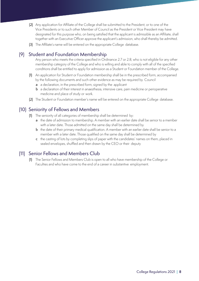- (2) Any application for Affiliate of the College shall be submitted to the President, or to one of the Vice Presidents or to such other Member of Council as the President or Vice President may have designated for this purpose who, on being satisfied that the applicant is admissible as an Affiliate, shall together with an Executive Officer approve the applicant's admission, who shall thereby be admitted.
- (3) The Affiliate's name will be entered on the appropriate College database.

### (9) Student and Foundation Membership

Any person who meets the criteria specified in Ordinance 2.7 or 2.8, who is not eligible for any other membership category of the College and who is willing and able to comply with all of the specified conditions shall be entitled to apply for admission as a Student or Foundation member of the College.

- (1) An application for Student or Foundation membership shall be in the prescribed form, accompanied by the following documents and such other evidence as may be required by Council
	- a a declaration, in the prescribed form, signed by the applicant
	- **b** a declaration of their interest in anaesthesia, intensive care, pain medicine or perioperative medicine and place of study or work.
- (2) The Student or Foundation member's name will be entered on the appropriate College database.

### (10) Seniority of Fellows and Members

- (1) The seniority of all categories of membership shall be determined by:
	- a the date of admission to membership. A member with an earlier date shall be senior to a member with a later date. Those admitted on the same day shall be determined by
	- **b** the date of their primary medical qualification. A member with an earlier date shall be senior to a member with a later date. Those qualified on the same day shall be determined by
	- c the casting of lots by completing slips of paper with the candidates' names on them, placed in sealed envelopes, shuffled and then drawn by the CEO or their deputy

# (11) Senior Fellows and Members Club

(1) The Senior Fellows and Members Club is open to all who have membership of the College or Faculties and who have come to the end of a career in substantive employment.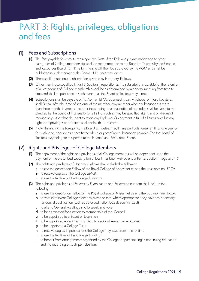# PART 3: Rights, privileges, obligations and fees

### (1) Fees and Subscriptions

- (1) The fees payable for entry to the respective Parts of the Fellowship examination and to other categories of College membership, shall be recommended to the Board of Trustees by the Finance and Resources Board from time to time and will then be approved by the AGM and shall be published in such manner as the Board of Trustees may direct.
- (2) There shall be no annual subscription payable by Honorary Fellows.
- (3) Other than those specified in Part 3, Section 1, regulation 2, the subscriptions payable for the retention of all categories of College membership shall be as determined by a general meeting from time to time and shall be published in such manner as the Board of Trustees may direct.
- (4) Subscriptions shall be payable on 1st April or 1st October each year, whichever of these two dates shall first fall after the date of seniority of the member. Any member whose subscription is more than three months in arrears and after the sending of a final notice of reminder, shall be liable to be directed by the Board of Trustees to forfeit all, or such as may be specified, rights and privileges of membership other than the right to retain any Diploma. On payment in full of all sums overdue any rights and privileges so forfeited shall forthwith be restored.
- (5) Notwithstanding the foregoing, the Board of Trustees may in any particular case remit for one year or for such longer period as it sees fit the whole or part of any subscription payable. The the Board of Trustees may delegate this power to the Finance and Resources Board.

# (2) Rights and Privileges of College Members

- (1) The enjoyment of the rights and privileges of all College members will be dependent upon the payment of the prescribed subscription unless it has been waived under Part 3, Section 1, regulation 5.
- (2) The rights and privileges of Honorary Fellows shall include the following:
	- a to use the description Fellow of the Royal College of Anaesthetists and the post-nominal FRCA
	- b to receive copies of the College *Bulletin*
	- c to use the facilities of the College buildings.
- (3) The rights and privileges of Fellows by Examination and Fellows ad eundem shall include the following:
	- a to use the description Fellow of the Royal College of Anaesthetists and the post-nominal FRCA
	- **b** to vote in relevant College elections provided that, where appropriate, they have any necessary residential qualification (such as devolved nation boards see Annex 3)
	- c to attend General Meetings and to speak and vote
	- d to be nominated for election to membership of the Council
	- e to be appointed to a Board of Examiners
	- f to be appointed a Regional or a Deputy Regional Anaesthesia Adviser
	- g to be appointed a College Tutor
	- h to receive copies of publications the College may issue from time to time
	- i to use the facilities of the College buildings
	- j to benefit from arrangements organised by the College for participating in continuing education and the recording of such participation.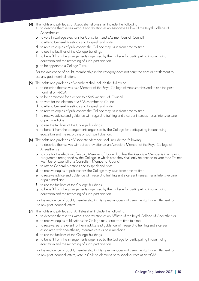- (4) The rights and privileges of Associate Fellows shall include the following:
	- a to describe themselves without abbreviation as an Associate Fellow of the Royal College of Anaesthetists
	- b to vote in College elections for Consultant and SAS members of Council
	- c to attend General Meetings and to speak and vote
	- d to receive copies of publications the College may issue from time to time
	- e to use the facilities of the College buildings
	- f to benefit from the arrangements organised by the College for participating in continuing education and the recording of such participation
	- **g** to be appointed a College Tutor.

For the avoidance of doubt, membership in this category does not carry the right or entitlement to use any post-nominal letters.

- (5) The rights and privileges of Members shall include the following:
	- a to describe themselves as a Member of the Royal College of Anaesthetists and to use the postnominal of MRCA
	- **b** to be nominated for election to a SAS vacancy of Council
	- c to vote for the election of a SAS Member of Council
	- d to attend General Meetings and to speak and vote
	- e to receive copies of publications the College may issue from time to time
	- f to receive advice and quidance with regard to training and a career in anaesthesia, intensive care or pain medicine
	- g to use the facilities of the College buildings
	- h to benefit from the arrangements organised by the College for participating in continuing education and the recording of such participation.
- (6) The rights and privileges of Associate Members shall include the following:
	- a to describe themselves without abbreviation as an Associate Member of the Royal College of Anaesthetists
	- **b** to vote for the election of an SAS Member of Council, unless the Associate Member is in a training programme recognised by the College, in which case they shall only be entitled to vote for a Trainee Member of Council or a Consultant Member of Council
	- c to attend General Meetings and to speak and vote
	- d to receive copies of publications the College may issue from time to time
	- e to receive advice and guidance with regard to training and a career in anaesthesia, intensive care or pain medicine
	- f to use the facilities of the College buildings
	- g to benefit from the arrangements organised by the College for participating in continuing education and the recording of such participation.

For the avoidance of doubt, membership in this category does not carry the right or entitlement to use any post-nominal letters.

- (7) The rights and privileges of Affiliates shall include the following:
	- a to describe themselves without abbreviation as an Affiliate of the Royal College of Anaesthetists
	- **b** to receive copies publications the College may issue from time to time
	- c to receive, as is relevant to them, advice and guidance with regard to training and a career associated with anaesthesia, intensive care or pain medicine
	- d to use the facilities of the College buildings
	- e to benefit from the arrangements organised by the College for participating in continuing education and the recording of such participation.

For the avoidance of doubt, membership in this category does not carry the right or entitlement to use any post-nominal letters, vote in College elections or to speak or vote at an AGM.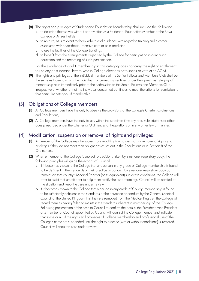- (8) The rights and privileges of Student and Foundation Membership shall include the following:
	- a to describe themselves without abbreviation as a Student or Foundation Member of the Royal College of Anaesthetists
	- **b** to receive, as is relevant to them, advice and quidance with regard to training and a career associated with anaesthesia, intensive care or pain medicine
	- c to use the facilities of the College buildings
	- d to benefit from the arrangements organised by the College for participating in continuing education and the recording of such participation.

For the avoidance of doubt, membership in this category does not carry the right or entitlement to use any post-nominal letters, vote in College elections or to speak or vote at an AGM.

(9) The rights and privileges of the individual members of the Senior Fellows and Members Club shall be the same as those to which the individual concerned was entitled under their previous category of membership held immediately prior to their admission to the Senior Fellows and Members Club, irrespective of whether or not the individual concerned continues to meet the criteria for admission to that particular category of membership.

# (3) Obligations of College Members

- (1) All College members have the duty to observe the provisions of the College's Charter, Ordinances and Regulations;
- (2) All College members have the duty to pay within the specified time any fees, subscriptions or other dues prescribed under the Charter or Ordinances or Regulations or in any other lawful manner.

### (4) Modification, suspension or removal of rights and privileges

- (1) A member of the College may be subject to a modification, suspension or removal of rights and privileges if they do not meet their obligations as set out in the Regulations or in Section 8 of the Ordinances.
- (2) When a member of the College is subject to decisions taken by a national regulatory body, the following principles will guide the actions of Council:
	- a if it becomes known to the College that any person in any grade of College membership is found to be deficient in the standards of their practice or conduct by a national regulatory body but remains on that country's Medical Register (or its equivalent) subject to conditions, the College will offer to assist that practitioner to help them rectify their shortcomings. Council will be notified of the situation and keep the case under review
	- **b** if it becomes known to the College that a person in any grade of College membership is found to be sufficiently deficient in the standards of their practice or conduct by the General Medical Council of the United Kingdom that they are removed from the Medical Register, the College will regard them as having failed to maintain the standards inherent in membership of the College. Following presentation of the case to Council to confirm the details, the President, Vice President or a member of Council appointed by Council will contact the College member and indicate that some or all of the rights and privileges of College membership and professional use of the College's name are suspended until the right to practice (with or without conditions) is restored. Council will keep the case under review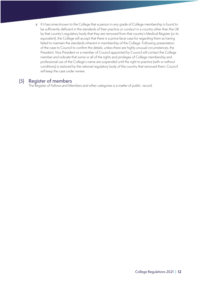c if it becomes known to the College that a person in any grade of College membership is found to be sufficiently deficient in the standards of their practice or conduct in a country other than the UK by that country's regulatory body that they are removed from that country's Medical Register (or its equivalent), the College will accept that there is a prima facie case for regarding them as having failed to maintain the standards inherent in membership of the College. Following presentation of the case to Council to confirm the details, unless there are highly unusual circumstances, the President, Vice President or a member of Council appointed by Council will contact the College member and indicate that some or all of the rights and privileges of College membership and professional use of the College's name are suspended until the right to practice (with or without conditions) is restored by the national regulatory body of the country that removed them. Council will keep the case under review.

### (5) Register of members

The Register of Fellows and Members and other categories is a matter of public record.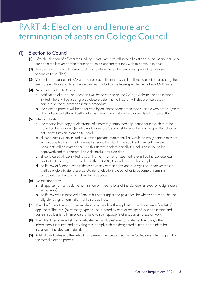# PART 4: Election to and tenure and termination of seats on College Council

# (1) Election to Council

- (1) After the election of officers the College Chief Executive will invite all existing Council Members, who are not in the last year of their term of office, to confirm that they wish to continue in post.
- (2) The election of Council members will complete in December each year (providing there are vacancies to be filled).
- (3) Vacancies for Consultant, SAS and Trainee council members shall be filled by election, providing there are more eligible candidates than vacancies. Eligibility criteria are specified in College Ordinance 5.
- (4) Notice of election to Council:
	- a notification of all council vacancies will be advertised on the College website and applications invited. There will be a designated closure date. The notification will also provide details concerning the relevant application procedure
	- **b** the election process will be conducted by an independent organisation using a web based system. The College website and ballot information will clearly state the closure date for the election.
- (5) Intention to stand:
	- a the receipt, hard copy or electronic, of a correctly completed application form, which must be signed by the applicant (an electronic signature is acceptable), at or before the specified closure date constitutes an intention to stand
	- **b** all candidates will be invited to submit a personal statement. This would normally contain relevant autobiographical information as well as any other details the applicant may feel is relevant. Applicants will be invited to submit this statement electronically for inclusion in the ballot paperwork and thus there will be a defined submission date
	- c all candidates will be invited to submit other information deemed relevant by the College, e.g. conflicts of interest, good standing with the GMC, CV and recent photograph
	- d no Fellow or Member who is deprived of any of their rights and privileges, for whatever reason, shall be eligible to stand as a candidate for election to Council or to become or remain a co-opted member of Council while so deprived.
- (6) Nomination forms:
	- a all applicants must seek the nomination of three Fellows of the College (an electronic signature is acceptable)
	- b no Fellow who is deprived of any of his or her rights and privileges, for whatever reason, shall be eligible to sign a nomination, while so deprived.
- (7) The Chief Executive or nominated deputy will validate the applications and prepare a final list of applicants. The list(s) (by vacancy type) will be ordered by date of receipt of valid application and contain applicants' full name, date of fellowship (if appropriate) and current place of work.
- (8) The Chief Executive will similarly validate the candidates' election statements and any other information submitted and providing they comply with the designated criteria, consolidate for inclusion in the election material.
- (9) A list of candidates and their election statements will be posted on the College website in support of the formal election process.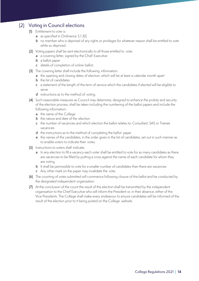# (2) Voting in Council elections

- (1) Entitlement to vote is:
	- a as specified in Ordinance 5.1.3(1)
	- b no member who is deprived of any rights or privileges for whatever reason shall be entitled to vote while so deprived.
- (2) Voting papers shall be sent electronically to all those entitled to vote:
	- a a covering letter, signed by the Chief Executive
	- **b** a ballot paper
	- c details of completion of online ballot;
- (3) The covering letter shall include the following information:
	- a the opening and closing dates of election, which will be at least a calendar month apart
	- **b** the list of candidates
	- c a statement of the length of the term of service which the candidates if elected will be eligible to serve
	- d instructions as to the method of voting.
- (4) Such reasonable measures as Council may determine, designed to enhance the probity and security of the election process, shall be taken including the numbering of the ballot papers and include the following information:
	- a the name of the College
	- **b** the nature and date of the election
	- c the number of vacancies and which election the ballot relates to: Consultant, SAS or Trainee vacancies
	- d the instructions as to the method of completing the ballot paper
	- e the names of the candidates, in the order given in the list of candidates, set out in such manner as to enable voters to indicate their votes.
- (5) Instructions to voters shall indicate:
	- a In any election to fill a vacancy each voter shall be entitled to vote for as many candidates as there are vacancies to be filled by putting a cross against the name of each candidate for whom they are voting
	- **b** It shall be permissible to vote for a smaller number of candidates than there are vacancies
	- c Any other mark on the paper may invalidate the vote.
- (6) The counting of votes submitted will commence following closure of the ballot and be conducted by the designated independent organisation.
- (7) At the conclusion of the count the result of the election shall be transmitted by the independent organisation to the Chief Executive who will inform the President or, in their absence, either of the Vice Presidents. The College shall make every endeavour to ensure candidates will be informed of the result of the election prior to it being posted on the College website.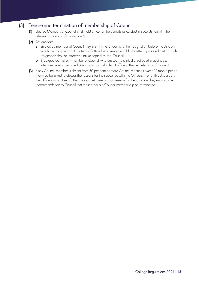# (3) Tenure and termination of membership of Council

- (1) Elected Members of Council shall hold office for the periods calculated in accordance with the relevant provisions of Ordinance 5.
- (2) Resignations
	- a an elected member of Council may at any time tender his or her resignation before the date on which the completion of the term of office being served would take effect, provided that no such resignation shall be effective until accepted by the Council
	- **b** it is expected that any member of Council who ceases the clinical practice of anaesthesia, intensive care or pain medicine would normally demit office at the next election of Council.
- (3) If any Council member is absent from 50 per cent or more Council meetings over a 12 month period, they may be asked to discuss the reasons for their absence with the Officers. If, after this discussion, the Officers cannot satisfy themselves that there is good reason for the absence, they may bring a recommendation to Council that the individual's Council membership be terminated.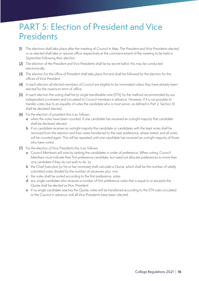# PART 5: Election of President and Vice **Presidents**

- (1) The elections shall take place after the meeting of Council in May. The President and Vice Presidents elected or re-elected shall take or resume office respectively at the commencement of the meeting to be held in September following their election.
- (2) The election of the President and Vice Presidents shall be by secret ballot, this may be conducted electronically.
- (3) The election for the office of President shall take place first and shall be followed by the election for the offices of Vice President.
- (4) In each election all elected members of Council are eligible to be nominated unless they have already been elected for the maximum term of office.
- (5) In each election the voting shall be by single transferable vote (STV), by the method recommended by our independent scrutineers and circulated to Council members in advance. However, if it is not possible to transfer votes due to an equality of votes the candidate who is most senior, as defined in Part 2, Section 10 shall be declared elected.
- (6) For the election of president this is as follows:
	- a when the votes have been counted, if one candidate has received an outright majority that candidate shall be declared elected
	- **b** if no candidate receives an outright majority the candidate or candidates with the least votes shall be removed from the election and their votes transferred to the next preference, where stated, and all votes will be counted again. This will be repeated until one candidate has received an outright majority of those who have voted.
- (7) For the election of Vice Presidents this is as follows:
	- a Council Members will vote by ranking the candidates in order of preference. When voting, Council Members must indicate their first preference candidate, but need not allocate preferences to more than one candidate if they do not wish to do so
	- **b** the Chief Executive (or his or her nominee) shall calculate a Quota, which shall be the number of validly submitted votes divided by the number of vacancies plus one
	- c the votes shall be sorted according to the first preference votes
	- d any single candidate who receives a number of first preference votes that is equal to or exceeds the Quota shall be elected as Vice President
	- e if no single candidate reaches the Quota, votes will be transferred according to the STV rules circulated to the Council in advance until all Vice Presidents have been elected.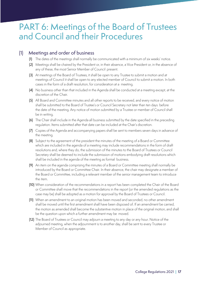# PART 6: Meetings of the Board of Trustees and Council and their Procedures

### (1) Meetings and order of business

- (1) The dates of the meetings shall normally be communicated with a minimum of six weeks' notice.
- (2) Meetings shall be chaired by the President or, in their absence, a Vice President or, in the absence of any of these, the most Senior Member of Council present.
- (3) At meetings of the Board of Trustees, it shall be open to any Trustee to submit a motion and at meetings of Council it shall be open to any elected member of Council to submit a motion. In both cases in the form of a draft resolution, for consideration at a meeting.
- (4) No business other than that included in the Agenda shall be conducted at a meeting except, at the discretion of the Chair.
- (5) All Board and Committee minutes and all other reports to be received, and every notice of motion shall be submitted to the Board of Trustee's or Council Secretary not later than ten days before the date of the meeting. Any notice of motion submitted by a Trustee or member of Council shall be in writing.
- (6) The Chair shall include in the Agenda all business submitted by the date specified in the preceding regulation. Items submitted after that date can be included at the Chair's discretion.
- (7) Copies of the Agenda and accompanying papers shall be sent to members seven days in advance of the meeting.
- (8) Subject to the agreement of the president the minutes of the meeting of a Board or Committee which are included in the agenda of a meeting may include recommendations in the form of draft resolutions and, where they do, the submission of the minutes to the Board of Trustees or Council Secretary shall be deemed to include the submission of motions embodying draft resolutions which shall be included in the agenda of the meeting as formal business.
- (9) An item on the agenda comprising the minutes of a Board or Committee meeting shall normally be introduced by the Board or Committee Chair. In their absence, the chair may designate a member of the Board or Committee, including a relevant member of the senior management team to introduce the item.
- (10) When consideration of the recommendations in a report has been completed the Chair of the Board or Committee shall move that the recommendations in the report (or the amended regulations as the case may be) shall be adopted as a motion for approval by the Board of Trustees or Council.
- (11) When an amendment to an original motion has been moved and seconded, no other amendment shall be moved until the first amendment shall have been disposed of. If an amendment be carried, the motion as amended shall become the substantive motion in place of the original motion, and shall be the question upon which a further amendment may be moved.
- (12) The Board of Trustees or Council may adjourn a meeting to any day or any hour. Notice of the adjourned meeting, when the adjournment is to another day, shall be sent to every Trustee or Member of Council as appropriate.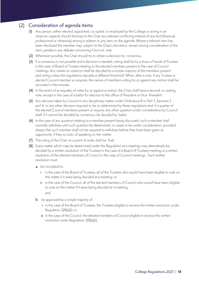# (2) Consideration of agenda items

- (1) Any person, either elected, appointed, co-opted, or employed by the College or acting in an observer capacity should disclose to the Chair any relevant conflicting interest of any kind (financial, professional or otherwise) arising in relation to any item on the agenda. Where a relevant item has been disclosed the member may, subject to the Chair's discretion, remain during consideration of the item, partake in any debate concerning it but not vote.
- (2) Whenever possible, the Chair should try to obtain a decision by consensus.
- (3) If a consensus is not possible and a decision is needed, voting shall be by a show of hands of Trustees in the case of Board of Trustee meeting or the elected members present in the case of Council meetings. Any matter so voted on shall be decided by a simple majority of the members present and voting unless the regulations stipulate a different threshold. When, after a vote, if any Trustee or elected Council member so requires, the names of members voting for or against any motion shall be recorded in the minutes.
- (4) In the event of an equality of votes for or against a motion, the Chair shall have a second, or casting, vote, except in the case of a ballot for election to the office of President or Vice President.
- (5) Any decision taken by Council in any disciplinary matter under Ordinance 8 or Part 3, Sections 3 and 4, or any other decision required to be so determined by these regulations and, if a quarter of the elected Council members present so require, any other question under consideration by Council shall, if it cannot be decided by consensus, be decided by ballot.
- (6) In the case of any question relating to a member present being discussed, such a member shall normally withdraw until such question be determined, or cease to be under consideration; provided always that such member shall not be required to withdraw before they have been given an opportunity, if they so wish, of speaking on the matter.
- (7) The ruling of the Chair on a point of order shall be final.
- (8) Every matter which may be determined under this Regulation at a meeting, may alternatively be decided by a written resolution of the Trustees in the case of a Board of Trustees meeting or a written resolution of the elected members of Council in the case of Council meetings. Such written resolution must:
	- a be circulated to:
		- i in the case of the Board of Trustees, all of the Trustees who would have been eligible to vote on the matter if it were being decided at a meeting; or
		- ii in the case of the Council, all of the elected members of Council who would have been eligible to vote on the matter if it were being decided at a meeting; and
	- **b** be approved by a simple majority of:
		- i in the case of the Board of Trustees, the Trustees eligible to receive the written resolution under Regulation 2(8)(a)(i); or
		- ii in the case of the Council, the elected members of Council eligible to receive the written resolution under Regulation 2(8)(a)(ii).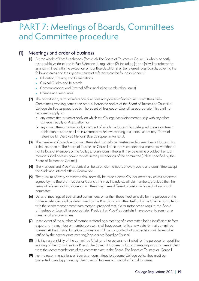# PART 7: Meetings of Boards, Committees and Committee procedure

### (1) Meetings and order of business

- (1) For the whole of Part 7 each body (for which The Board of Trustees or Council is wholly or partly responsible) as described in Part 7, Section (1), regulation (2), including (a) and (b) will be referred to as a 'committee', with the exception of four Boards which shall be referred to as Boards, covering the following areas and their generic terms of reference can be found in Annex 2:
	- Education, Training and Examinations
	- Clinical Quality and Research
	- Communications and External Affairs (including membership issues)
	- Finance and Resources
- (2) The constitution, terms of reference, functions and powers of individual Committees, Sub-Committees, working parties and other subordinate bodies of the Board of Trustees or Council or College shall be as prescribed by The Board of Trustees or Council, as appropriate. This shall not necessarily apply to:
	- a any committee or similar body on which the College has a joint membership with any other College, Faculty or Association, or
	- b any committee or similar body in respect of which the Council has delegated the appointment or election of some or all of its Members to Fellows residing in a particular country. Terms of reference for Devolved Nations' Boards appear in Annex 3.
- (3) The members of boards and committees shall normally be Trustees and/or members of Council but it shall be open to The Board of Trustees or Council to co-opt such additional members, whether or not Fellows or Members of the College, to any committee as it may determine provided that such members shall have no power to vote in the proceedings of the committee (unless specified by the Board of Trustees or Council).
- (4) The President and Vice Presidents shall be ex officio members of every board and committee except the Audit and Internal Affairs Committee.
- (5) The quorum of every committee shall normally be three elected Council members, unless otherwise agreed by the Board of Trustees or Council, this may include ex-officio members, provided that the terms of reference of individual committees may make different provision in respect of each such committee.
- (6) Dates of meetings of Boards and committees, other than those fixed annually for the purpose of the College calendar, shall be determined by the Board or committee itself or by the Chair in consultation with the senior management team member provided that, if circumstances so require, the Board of Trustees or Council (as appropriate), President or Vice President shall have power to summon a meeting of any committee.
- (7) In the event of the number of members attending a meeting of a committee being insufficient to form a quorum, the member or members present shall have power to fix a new date for that committee to meet. At the Chair's discretion business can still be conducted but any decisions will have to be ratified by the next quorate meeting/appropriate Board or Council.
- (8) It is the responsibility of the committee Chair or other person nominated for the purpose to report the working of the committee in a Board, The Board of Trustees or Council meeting so as to make it clear what the recommendations of the committee are to the Board, The Board of Trustees or Council.
- (9) For the recommendations of Boards or committees to become College policy they must be presented to and approved by The Board of Trustees or Council in formal business.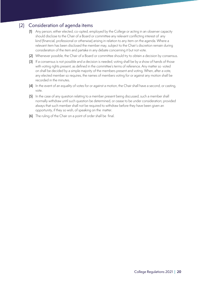# (2) Consideration of agenda items

- (1) Any person, either elected, co-opted, employed by the College or acting in an observer capacity should disclose to the Chair of a Board or committee any relevant conflicting interest of any kind (financial, professional or otherwise) arising in relation to any item on the agenda. Where a relevant item has been disclosed the member may, subject to the Chair's discretion remain during consideration of the item and partake in any debate concerning it but not vote.
- (2) Whenever possible, the Chair of a Board or committee should try to obtain a decision by consensus.
- (3) If a consensus is not possible and a decision is needed, voting shall be by a show of hands of those with voting rights present, as defined in the committee's terms of reference. Any matter so voted on shall be decided by a simple majority of the members present and voting. When, after a vote, any elected member so requires, the names of members voting for or against any motion shall be recorded in the minutes.
- (4) In the event of an equality of votes for or against a motion, the Chair shall have a second, or casting, vote.
- (5) In the case of any question relating to a member present being discussed, such a member shall normally withdraw until such question be determined, or cease to be under consideration; provided always that such member shall not be required to withdraw before they have been given an opportunity, if they so wish, of speaking on the matter.
- (6) The ruling of the Chair on a point of order shall be final.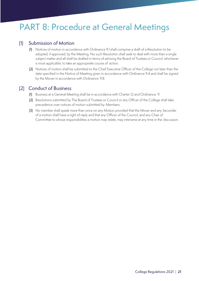# PART 8: Procedure at General Meetings

# (1) Submission of Motion

- (1) Notices of motion in accordance with Ordinance 9.1 shall comprise a draft of a Resolution to be adopted, if approved, by the Meeting. No such Resolution shall seek to deal with more than a single subject matter and all shall be drafted in terms of advising the Board of Trustees or Council, whichever is most applicable, to take an appropriate course of action.
- (2) Notices of motion shall be submitted to the Chief Executive Officer of the College not later than the date specified in the Notice of Meeting given in accordance with Ordinance 9.4 and shall be signed by the Mover in accordance with Ordinance 9.8.

### (2) Conduct of Business

- (1) Business at a General Meeting shall be in accordance with Charter 12 and Ordinance 9.
- (2) Resolutions submitted by The Board of Trustees or Council or any Officer of the College shall take precedence over notices of motion submitted by Members.
- (3) No member shall speak more than once on any Motion provided that the Mover and any Seconder of a motion shall have a right of reply and that any Officer of the Council, and any Chair of Committee to whose responsibilities a motion may relate, may intervene at any time in the discussion.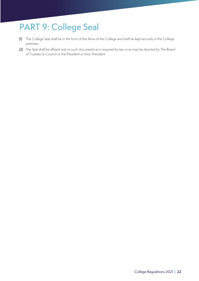# PART 9: College Seal

- (1) The College Seal shall be in the form of the Arms of the College and shall be kept securely in the College premises.
- (2) The Seal shall be affixed only to such documents as is required by law or as may be directed by The Board of Trustees or Council or the President or Vice President.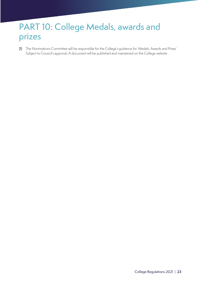# PART 10: College Medals, awards and prizes

(1) The Nominations Committee will be responsible for the College's guidance for 'Medals, Awards and Prizes' Subject to Council's approval. A document will be published and maintained on the College website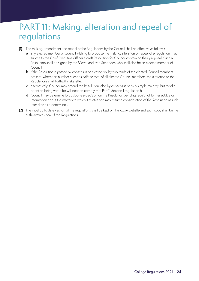# PART 11: Making, alteration and repeal of regulations

- (1) The making, amendment and repeal of the Regulations by the Council shall be effective as follows:
	- a any elected member of Council wishing to propose the making, alteration or repeal of a regulation, may submit to the Chief Executive Officer a draft Resolution for Council containing their proposal. Such a Resolution shall be signed by the Mover and by a Seconder, who shall also be an elected member of Council
	- b if the Resolution is passed by consensus or if voted on, by two thirds of the elected Council members present, where this number exceeds half the total of all elected Council members, the alteration to the Regulations shall forthwith take effect
	- c alternatively, Council may amend the Resolution, also by consensus or by a simple majority, but to take effect on being voted for will need to comply with Part 11 Section 1 regulation b
	- d Council may determine to postpone a decision on the Resolution pending receipt of further advice or information about the matters to which it relates and may resume consideration of the Resolution at such later date as it determines.
- (2) The most up to date version of the regulations shall be kept on the RCoA website and such copy shall be the authoritative copy of the Regulations.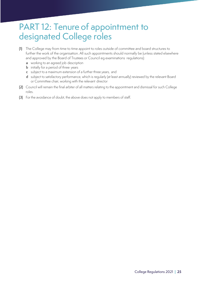# PART 12: Tenure of appointment to designated College roles

- (1) The College may from time to time appoint to roles outside of committee and board structures to further the work of the organisation. All such appointments should normally be (unless stated elsewhere and approved by the Board of Trustees or Council eg examinations regulations):
	- a working to an agreed job description
	- **b** initially for a period of three years
	- c subject to a maximum extension of a further three years, and
	- d subject to satisfactory performance, which is regularly (at least annually) reviewed by the relevant Board or Committee chair, working with the relevant director
- (2) Council will remain the final arbiter of all matters relating to the appointment and dismissal for such College roles.
- (3) For the avoidance of doubt, the above does not apply to members of staff.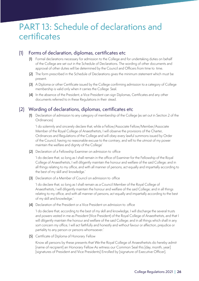# PART 13: Schedule of declarations and certificates

### (1) Forms of declaration, diplomas, certificates etc

- (1) Formal declarations necessary for admission to the College and for undertaking duties on behalf of the College are set out in the Schedule of Declarations. The wording of other documents and approval of other duties will be determined by the Council and Officers from time to time.
- (2) The form prescribed in the Schedule of Declarations gives the minimum statement which must be present.
- (3) A Diploma or other Certificate issued by the College confirming admission to a category of College membership is valid only when it carries the College Seal.
- (4) In the absence of the President, a Vice President can sign Diplomas, Certificates and any other documents referred to in these Regulations in their stead.

### (2) Wording of declarations, diplomas, certificates etc

(1) Declaration of admission to any category of membership of the College (as set out in Section 2 of the Ordinances)

'I do solemnly and sincerely declare that, while a Fellow/Associate Fellow/Member/Associate Member of the Royal College of Anaesthetists, I will observe the provisions of the Charter, Ordinances and Regulations of the College and will obey every lawful summons issued by Order of the Council, having no reasonable excuse to the contrary, and will to the utmost of my power maintain the welfare and dignity of the College'

(2) Declaration of a Fellowship Examiner on admission to office

'I do declare that, so long as I shall remain in the office of Examiner for the Fellowship of the Royal College of Anaesthetists, I will diligently maintain the honour and welfare of the said College; and in all things relating to my office, and with all manner of persons, act equally and impartially according to the best of my skill and knowledge.'

(3) Declaration of a Member of Council on admission to office

'I do declare that, so long as I shall remain as a Council Member of the Royal College of Anaesthetists, I will diligently maintain the honour and welfare of the said College; and in all things relating to my office, and with all manner of persons, act equally and impartially according to the best of my skill and knowledge.'

(4) Declaration of the President or a Vice President on admission to office

'I do declare that, according to the best of my skill and knowledge, I will discharge the several trusts and powers vested in me as President (Vice President) of the Royal College of Anaesthetists, and that I will diligently maintain the honour and welfare of the said College; and in all things which shall in any sort concern my office, I will act faithfully and honestly and without favour or affection, prejudice or partiality to any person or persons whomsoever.'

(5) Certificate of Diploma of Honorary Fellow

Know all persons by these presents that We the Royal College of Anaesthetists do hereby admit [name of recipient] an Honorary Fellow As witness our Common Seal this [day, month, year] [signatures of President and Vice Presidents] Enrolled by [signature of Executive Officer].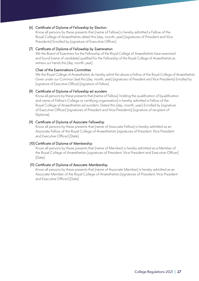#### (6) Certificate of Diploma of Fellowship by Election

Know all persons by these presents that [name of Fellow] is hereby admitted a Fellow of the Royal College of Anaesthetists dated this [day, month, year] [signatures of President and Vice Presidents] Enrolled by [signature of Executive Officer].

#### (7) Certificate of Diploma of Fellowship by Examination

We the Board of Examiners for the Fellowship of the Royal College of Anaesthetists have examined and found [name of candidate] qualified for the Fellowship of the Royal College of Anaesthetists as witness our hands this [day, month, year].

#### Chair of the Examinations Committee

We the Royal College of Anaesthetists do hereby admit the above a Fellow of the Royal College of Anaesthetists Given under our Common Seal this [day, month, year] [signatures of President and Vice Presidents] Enrolled by [signature of Executive Officer] [signature of Fellow].

#### (8) Certificate of Diploma of Fellowship ad eundem

Know all persons by these presents that [name of Fellow], holding the qualification of [qualification and name of Fellow's College or certifying organisation] is hereby admitted a Fellow of the Royal College of Anaesthetists ad eundem. Dated this [day, month, year] Enrolled by [signature of Executive Officer] [signatures of President and Vice Presidents] [signature of recipient of Diploma].

#### (9) Certificate of Diploma of Associate Fellowship

Know all persons by these presents that [name of Associate Fellow] is hereby admitted as an Associate Fellow of the Royal College of Anaesthetists [signatures of President, Vice President and Executive Officer] [Date].

#### (10) Certificate of Diploma of Membership

Know all persons by these presents that [name of Member] is hereby admitted as a Member of the Royal College of Anaesthetists [signatures of President, Vice President and Executive Officer] [Date].

#### (11) Certificate of Diploma of Associate Membership

Know all persons by these presents that [name of Associate Member] is hereby admitted as an Associate Member of the Royal College of Anaesthetists [signatures of President, Vice President and Executive Officer] [Date].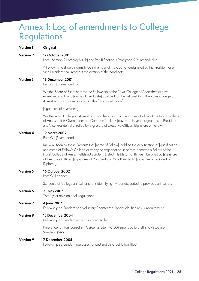# Annex 1: Log of amendments to College Regulations

#### **Version 1 Original**

#### **Version 2 17 October 2001**

Part II Section 2 Paragraph 4 (b) and Part II Section 3 Paragraph 5 (b) amended to:

A Fellow, who should normally be a member of the Council designated by the President or a Vice President shall read out the citation of the candidate;

#### **Version 3 19 December 2001**

Part XVII (4) amended to:

We the Board of Examiners for the Fellowship of the Royal College of Anaesthetists have examined and found [name of candidate] qualified for the Fellowship of the Royal College of Anaesthetists as witness our hands this [day, month, year].

[signatures of Examiners]

We the Royal College of Anaesthetists do hereby admit the above a Fellow of the Royal College of Anaesthetists Given under our Common Seal this [day, month, year] [signatures of President and Vice Presidents] Enrolled by [signature of Executive Officer] [signature of Fellow].

#### **Version 4 19 March2002**

Part XVII (5) amended to:

Know all Men by these Presents that [name of Fellow], holding the qualification of [qualification and name of Fellow's College or certifying organisation] is hereby admitted a Fellow of the Royal College of Anaesthetists ad eundem. Dated this [day, month, year] Enrolled by [signature of Executive Officer] [signatures of President and Vice Presidents] [signature of recipient of Diploma].

#### **Version 5 16 October2002**

Part XVIII added:

Schedule of College annual functions identifying invitees etc added to provide clarification.

#### **Version 6 21 May2003**

Three year revision of all regulations

#### **Version 7 4 June 2004**

Fellowship ad Eundem and Voluntary Register regulations clarified re UK requirement.

#### **Version 8 15 December2004**

Fellowship ad Eundem entry route 2 amended.

Reference to Non Consultant Career Grade (NCCG) amended to Staff and Associate Specialist (SAS).

#### **Version 9 7 December 2005**

Fellowship ad Eundem route 2 amended and date restriction lifted.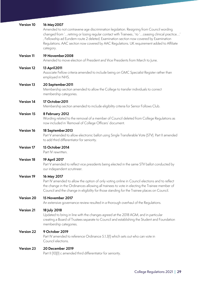#### **Version 10 16 May2007**

Amended to not contravene age discrimination legislation. Resigning from Council wording changed from '…retiring or losing regular contact with Trainees..' to '…ceasing clinical practice…' , Fellowship ad Eundem route 2 deleted, Examination section now covered by Examination Regulations. AAC section now covered by AAC Regulations. UK requirement added to Affiliate category.

#### **Version 11 19 November2008**

Amended to move election of President and Vice Presidents from March to June.

#### **Version 12 13 April2011**

Associate Fellow criteria amended to include being on GMC Specialist Register rather than employed in NHS.

#### **Version 13 20 September2011**

Membership section amended to allow the College to transfer individuals to correct membership categories.

#### **Version 14 17 October2011**

Membership section amended to include eligibility criteria for Senior Follows Club.

#### **Version 15 8 February 2012**

Wording related to the removal of a member of Council deleted from College Regulations as now included in 'Removal of College Officers' document.

#### **Version 16 18 September2013**

Part V amended to allow electronic ballot using Single Transferable Vote (STV). Part II amended to add third differentiator for seniority.

#### **Version 17 15 October 2014**

Part IV rewritten.

#### **Version 18 19 April 2017**

Part V amended to reflect vice presidents being elected in the same STV ballot conducted by our independent scrutineer.

#### **Version 19 16 May 2017**

Part IV amended to allow the option of only voting online in Council elections and to reflect the change in the Ordinances allowing all trainees to vote in electing the Trainee member of Council and the change in eligibility for those standing for the Trainee places on Council.

#### **Version 20 15 November 2017**

An extensive governance review resulted in a thorough overhaul of the Regulations.

#### **Version 21 18 July 2018**

Updated to bring in line with the changes agreed at the 2018 AGM, and in particular creating a Board of Trustees separate to Council and establishing the Student and Foundation membership categories.

#### **Version 22 9 October 2019**

Part IV amended to reference Ordinance 5.1.3(1) which sets out who can vote in Council elections.

#### **Version 23 20 December 2019**

Part II (10)(1) c amended third differentiator for seniority.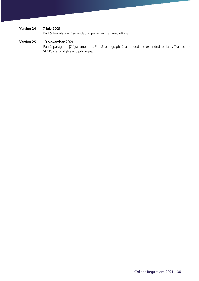### **Version 24 7 July 2021**

Part 6, Regulation 2 amended to permit written resolutions

#### **Version 25 10 November 2021**

Part 2, paragraph (7)(1)(a) amended, Part 3, paragraph (2) amended and extended to clarify Trainee and SFMC status, rights and privileges.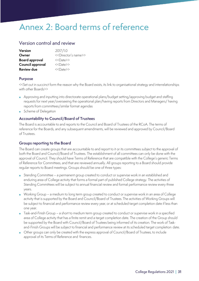# Annex 2: Board terms of reference

### Version control and review

| <b>Version</b>        | 2017/1.0                                |
|-----------------------|-----------------------------------------|
| Owner                 | < <director's name="">&gt;</director's> |
| <b>Board approval</b> | < <date>&gt;</date>                     |
| Council approval      | $\langle$ < Date >>                     |
| <b>Review due</b>     | $\langle$ < Date >>                     |

#### **Purpose**

<<Set out in succinct form the reason why the Board exists, its link to organisational strategy and interrelationships with other Boards>>

- Approving and inputting into directorate operational plans/budget setting/approving budget and staffing requests for next year/overseeing the operational plan/having reports from Directors and Managers/ having reports from committees/similar format agendas
- Scheme of Delegation

#### **Accountability to Council/Board of Trustees**

The Board is accountable to and reports to the Council and Board of Trustees of the RCoA. The terms of reference for the Boards, and any subsequent amendments, will be reviewed and approved by Council/Board of Trustees.

#### **Groups reporting to the Board**

The Board can create groups that are accountable to and report to it or its committees subject to the approval of both the Board and Council/Board of Trustees. The establishment of all committees can only be done with the approval of Council. They should have Terms of Reference that are compatible with the College's generic Terms of Reference for Committees, and that are reviewed annually. All groups reporting to a Board should provide regular reports to Board meetings. Groups should be one of three types:

- Standing Committee a permanent group created to conduct or supervise work in an established and enduring area of College activity that forms a formal part of published College strategy. The activities of Standing Committees will be subject to annual financial review and formal performance review every three years.
- Working Group a medium to long term group created to conduct or supervise work in an area of College activity that is supported by the Board and Council/Board of Trustees. The activities of Working Groups will be subject to financial and performance review every year, or at scheduled target completion date if less than one year.
- Task-and-Finish Group a short to medium term group created to conduct or supervise work in a specified area of College activity that has a finite remit and a target completion date. The creation of the Group should be supported by the Board with Council/Board of Trustees being informed of its creation. The work of Taskand-Finish Groups will be subject to financial and performance review at its scheduled target completion date.
- Other groups can only be created with the express approval of Council/Board of Trustees, to include approval of its Terms of Reference and finances.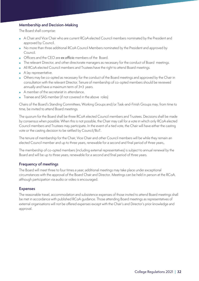#### **Membership and Decision-Making**

The Board shall comprise:

- A Chair and Vice Chair who are current RCoA elected Council members nominated by the President and approved by Council.
- No more than three additional RCoA Council Members nominated by the President and approved by Council.
- Officers and the CEO are *ex officio* members of the Board.
- The relevant Director, and other directorate managers as necessary for the conduct of Board meetings.
- All RCoA elected Council members and Trustees have the right to attend Board meetings.
- A lay representative.
- Others may be co-opted as necessary for the conduct of the Board meetings and approved by the Chair in consultation with the relevant Director. Tenure of membership of co-opted members should be reviewed annually and have a maximum term of 3+3 years.
- A member of the secretariat in attendance.
- Trainee and SAS member (if not covered in the above roles)

Chairs of the Board's Standing Committees, Working Groups and/or Task-and-Finish Groups may, from time to time, be invited to attend Board meetings.

The quorum for the Board shall be three RCoA elected Council members and Trustees. Decisions shall be made by consensus when possible. When this is not possible, the Chair may call for a vote in which only RCoA elected Council members and Trustees may participate. In the event of a tied vote, the Chair will have either the casting vote or the casting decision to be ratified by Council/BoT.

The tenure of membership for the Chair, Vice Chair and other Council members will be while they remain an elected Council member and up to three years, renewable for a second and final period of three years,.

The membership of co-opted members (including external representatives) is subject to annual renewal by the Board and will be up to three years, renewable for a second and final period of three years.

#### **Frequency of meetings**

The Board will meet three to four times a year; additional meetings may take place under exceptional circumstances with the approval of the Board Chair and Director. Meetings can be held in person at the RCoA, although participation via audio or video is encouraged.

#### **Expenses**

The reasonable travel, accommodation and subsistence expenses of those invited to attend Board meetings shall be met in accordance with published RCoA guidance. Those attending Board meetings as representatives of external organisations will not be offered expenses except with the Chair's and Director's prior knowledge and approval.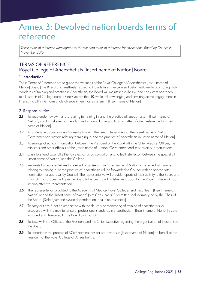# Annex 3: Devolved nation boards terms of reference

*These terms of reference were agreed as the standard terms of reference for any national Board by Council in November 2016*

# TERMS OF REFERENCE Royal College of Anaesthetists [Insert name of Nation] Board

#### **1 Introduction**

These Terms of Reference are to guide the workings of the Royal College of Anaesthetists [Insert name of Nation] Board ('the Board'). 'Anaesthesia' is used to include intensive care and pain medicine. In promoting high standards of training and practice in Anaesthesia, the Board will maintain a cohesive and consistent approach to all aspects of College core business across the UK, while acknowledging and ensuring active engagement in interacting with the increasingly divergent healthcare system in [Insert name of Nation].

#### **2 Responsibilities**

- 2.1 To keep under review matters relating to training in, and the practice of, anaesthesia in [Insert name of Nation], and to make recommendations to Council in regard to any matter of direct relevance to [Insert name of Nation].
- 2.2 To undertake discussions and consultation with the health department of the [Insert name of Nation] Government on matters relating to training in, and the practice of, anaesthesia in [Insert name of Nation].
- 2.3 To arrange direct communication between the President of the RCoA with the Chief Medical Officer, the ministers and other officials of the [Insert name of Nation] Government and its subsidiary organisations.
- 2.4 Chair to attend Council either by election or by co-option and to facilitate liaison between the specialty in [Insert name of Nation] and the College
- 2.5 Requests for representatives to relevant organisations in [Insert name of Nation] concerned with matters relating to training in, or the practice of, anaesthesia will be forwarded to Council with an appropriate nomination for approval by Council. The representative will provide reports of their activity to the Board and Council. This process will give the Board full access to administrative support by the Royal College without limiting effective representation.
- 2.6 The representation provided to the Academy of Medical Royal Colleges and Faculties in [Insert name of Nation] and to the [Insert name of Nation] Joint Consultants' Committee shall normally be by the Chair of the Board. [Delete/amend clause dependent on local circumstances].
- 2.7 To carry out any function associated with the delivery or monitoring of training of anaesthetists, or associated with the maintenance of professional standards in anaesthesia, in [Insert name of Nation] as are assigned and delegated to the Board by Council.
- 2.8 To liaise with the Offices of the President and the Chief Executive regarding the organisation of Elections to the Board.
- 2.9 To coordinate the process of RCoA nominations for any awards in [Insert name of Nation] on behalf of the President of the Royal College of Anaesthetists.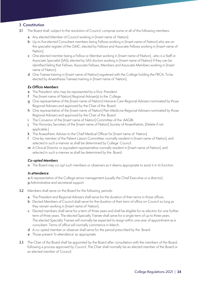#### **3 Constitution**

- 3.1 The Board shall, subject to the resolution of Council, comprise some or all of the following members:
	- a Any elected Member of Council working in [Insert name of Nation].
	- **b** Up to five elected Consultant members being Fellows working in [Insert name of Nation] who are on the specialist register of the GMC, elected by Fellows and Associate Fellows working in [Insert name of Nation].
	- c One elected member being a Fellow or Member working in [Insert name of Nation] , who is a Staff or Associate Specialist (SAS), elected by SAS doctors working in [Insert name of Nation] if they can be identified failing that Fellows, Associate Fellows, Members and Associate Members working in [Insert name of Nation].
	- d One Trainee training in [Insert name of Nation] registered with the College holding the FRCA. To be elected by Anaesthesia Trainees training in [Insert name of Nation].

#### *Ex Officio Members*

- e The President, who may be represented by a Vice President.
- f The [Insert name of Nation] Regional Adviser(s) to the College.
- g One representative of the [Insert name of Nation] Intensive Care Regional Advisers nominated by those Regional Advisers and approved by the Chair of the Board.
- h One representative of the [Insert name of Nation] Pain Medicine Regional Advisers nominated by those Regional Advisers and approved by the Chair of the Board.
- i The Convenor of the [Insert name of Nation] Committee of the AAGBI.
- j The Honorary Secretary of the [Insert name of Nation] Society of Anaesthetists. [Delete if not applicable.]
- k The Anaesthetic Adviser to the Chief Medical Officer for [Insert name of Nation].
- l One lay member of the Patient Liaison Committee, normally resident in [Insert name of Nation], and selected in such a manner as shall be determined by College Council.
- m A Clinical Director or equivalent representative normally resident in [Insert name of Nation], and selected in such a manner as shall be determined by the Board.

#### *Co-opted Members*

n The Board may co-opt such members or observers as it deems appropriate to assist it in its function.

#### *In attendance*

o A representative of the College senior management (usually the Chief Executive or a director).

- p Administrative and secretarial support.
- 3.2 Members shall serve on the Board for the following periods:
	- a The President and Regional Advisers shall serve for the duration of their terms in those offices.
	- b Elected Members of Council shall serve for the duration of their term of office on Council so long as they remain working in [Insert name of Nation].
	- c Elected members shall serve for a term of three years and shall be eligible for re-election for one further term of three years. The elected Specialty Trainee shall serve for a single term of up to three years. The elected Specialty Trainee will normally be expected to resign within one year of appointment as a consultant. Terms of office will normally commence in March.
	- d A co-opted member or observer shall serve for the period prescribed by the Board.
	- e Those present 'In attendance' as appropriate.
- 3.3 The Chair of the Board shall be appointed by the Board after consultation with the members of the Board, following a process approved by Council. The Chair shall normally be an elected member of the Board or an elected member of Council.